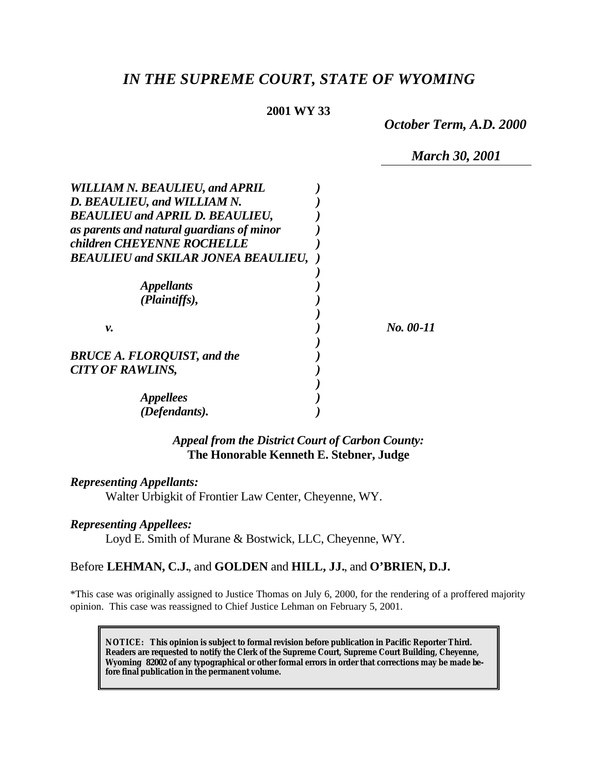# *IN THE SUPREME COURT, STATE OF WYOMING*

### **2001 WY 33**

*October Term, A.D. 2000*

*March 30, 2001*

| WILLIAM N. BEAULIEU, and APRIL<br>D. BEAULIEU, and WILLIAM N.<br><b>BEAULIEU and APRIL D. BEAULIEU,</b> |           |
|---------------------------------------------------------------------------------------------------------|-----------|
| as parents and natural guardians of minor<br>children CHEYENNE ROCHELLE                                 |           |
| <b>BEAULIEU and SKILAR JONEA BEAULIEU,</b>                                                              |           |
| <i><b>Appellants</b></i><br>(Plaintiffs),                                                               |           |
| v.                                                                                                      | No. 00-11 |
| <b>BRUCE A. FLORQUIST, and the</b><br><b>CITY OF RAWLINS,</b>                                           |           |
| <i>Appellees</i>                                                                                        |           |
| (Defendants).                                                                                           |           |

*Appeal from the District Court of Carbon County:* **The Honorable Kenneth E. Stebner, Judge**

### *Representing Appellants:*

Walter Urbigkit of Frontier Law Center, Cheyenne, WY.

#### *Representing Appellees:*

Loyd E. Smith of Murane & Bostwick, LLC, Cheyenne, WY.

### Before **LEHMAN, C.J.**, and **GOLDEN** and **HILL, JJ.**, and **O'BRIEN, D.J.**

\*This case was originally assigned to Justice Thomas on July 6, 2000, for the rendering of a proffered majority opinion. This case was reassigned to Chief Justice Lehman on February 5, 2001.

**NOTICE:** *This opinion is subject to formal revision before publication in Pacific Reporter Third. Readers are requested to notify the Clerk of the Supreme Court, Supreme Court Building, Cheyenne, Wyoming 82002 of any typographical or other formal errors in order that corrections may be made before final publication in the permanent volume.*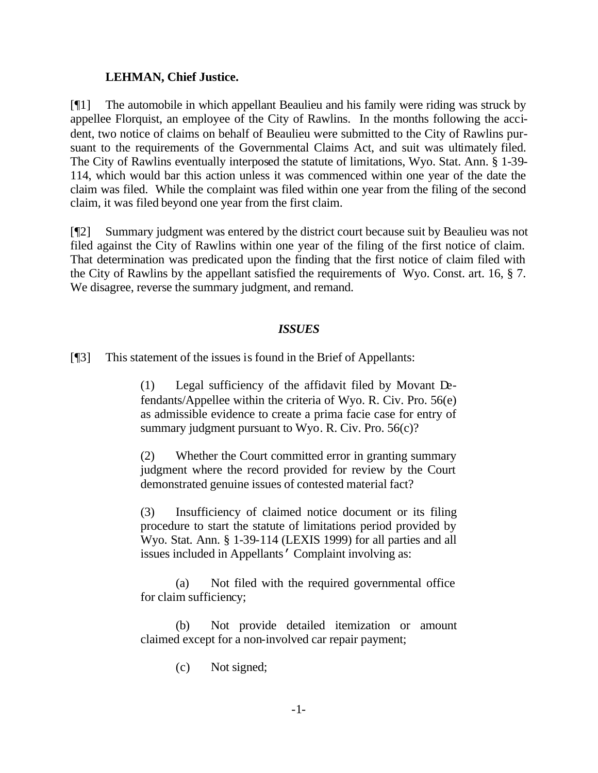### **LEHMAN, Chief Justice.**

[¶1] The automobile in which appellant Beaulieu and his family were riding was struck by appellee Florquist, an employee of the City of Rawlins. In the months following the accident, two notice of claims on behalf of Beaulieu were submitted to the City of Rawlins pursuant to the requirements of the Governmental Claims Act, and suit was ultimately filed. The City of Rawlins eventually interposed the statute of limitations, Wyo. Stat. Ann. § 1-39- 114, which would bar this action unless it was commenced within one year of the date the claim was filed. While the complaint was filed within one year from the filing of the second claim, it was filed beyond one year from the first claim.

[¶2] Summary judgment was entered by the district court because suit by Beaulieu was not filed against the City of Rawlins within one year of the filing of the first notice of claim. That determination was predicated upon the finding that the first notice of claim filed with the City of Rawlins by the appellant satisfied the requirements of Wyo. Const. art. 16, § 7. We disagree, reverse the summary judgment, and remand.

### *ISSUES*

[¶3] This statement of the issues is found in the Brief of Appellants:

(1) Legal sufficiency of the affidavit filed by Movant Defendants/Appellee within the criteria of Wyo. R. Civ. Pro. 56(e) as admissible evidence to create a prima facie case for entry of summary judgment pursuant to Wyo. R. Civ. Pro. 56(c)?

(2) Whether the Court committed error in granting summary judgment where the record provided for review by the Court demonstrated genuine issues of contested material fact?

(3) Insufficiency of claimed notice document or its filing procedure to start the statute of limitations period provided by Wyo. Stat. Ann. § 1-39-114 (LEXIS 1999) for all parties and all issues included in Appellants' Complaint involving as:

(a) Not filed with the required governmental office for claim sufficiency;

(b) Not provide detailed itemization or amount claimed except for a non-involved car repair payment;

(c) Not signed;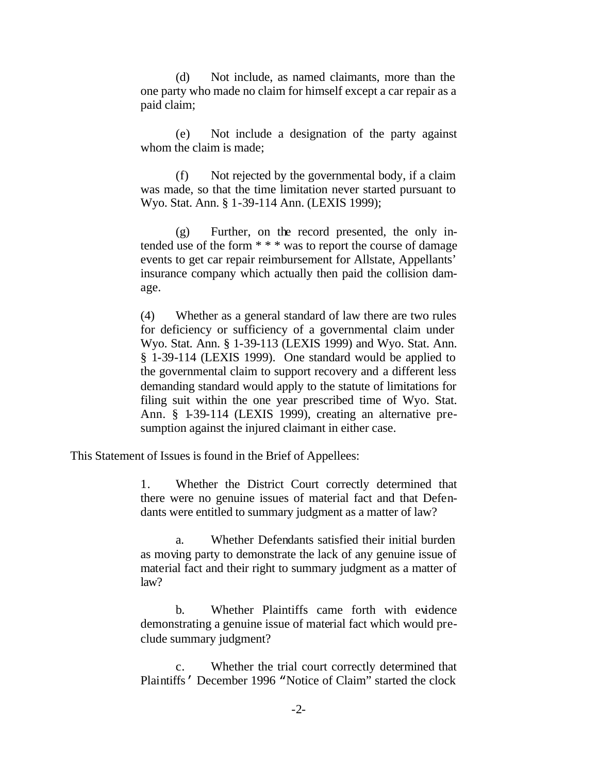(d) Not include, as named claimants, more than the one party who made no claim for himself except a car repair as a paid claim;

(e) Not include a designation of the party against whom the claim is made;

(f) Not rejected by the governmental body, if a claim was made, so that the time limitation never started pursuant to Wyo. Stat. Ann. § 1-39-114 Ann. (LEXIS 1999);

(g) Further, on the record presented, the only intended use of the form \* \* \* was to report the course of damage events to get car repair reimbursement for Allstate, Appellants' insurance company which actually then paid the collision damage.

(4) Whether as a general standard of law there are two rules for deficiency or sufficiency of a governmental claim under Wyo. Stat. Ann. § 1-39-113 (LEXIS 1999) and Wyo. Stat. Ann. § 1-39-114 (LEXIS 1999). One standard would be applied to the governmental claim to support recovery and a different less demanding standard would apply to the statute of limitations for filing suit within the one year prescribed time of Wyo. Stat. Ann. § 1-39-114 (LEXIS 1999), creating an alternative presumption against the injured claimant in either case.

This Statement of Issues is found in the Brief of Appellees:

1. Whether the District Court correctly determined that there were no genuine issues of material fact and that Defendants were entitled to summary judgment as a matter of law?

a. Whether Defendants satisfied their initial burden as moving party to demonstrate the lack of any genuine issue of material fact and their right to summary judgment as a matter of law?

b. Whether Plaintiffs came forth with evidence demonstrating a genuine issue of material fact which would preclude summary judgment?

c. Whether the trial court correctly determined that Plaintiffs' December 1996 "Notice of Claim" started the clock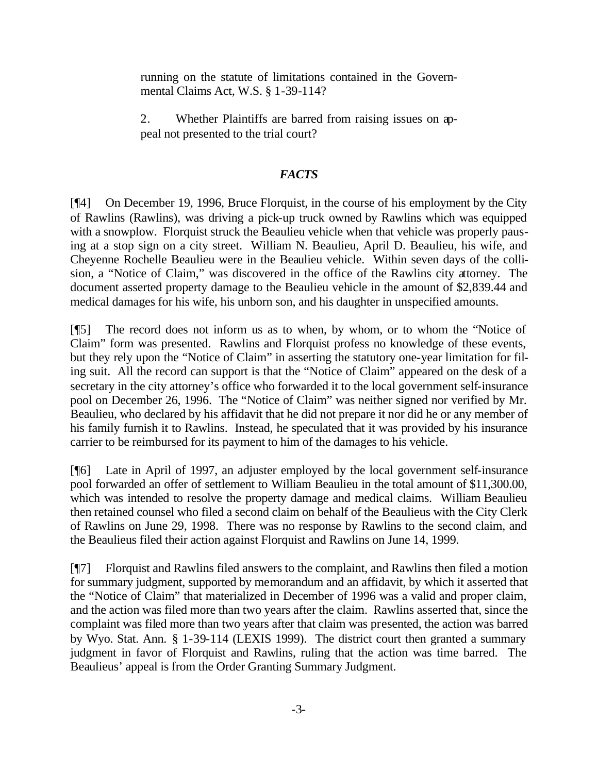running on the statute of limitations contained in the Governmental Claims Act, W.S. § 1-39-114?

2. Whether Plaintiffs are barred from raising issues on appeal not presented to the trial court?

## *FACTS*

[¶4] On December 19, 1996, Bruce Florquist, in the course of his employment by the City of Rawlins (Rawlins), was driving a pick-up truck owned by Rawlins which was equipped with a snowplow. Florquist struck the Beaulieu vehicle when that vehicle was properly pausing at a stop sign on a city street. William N. Beaulieu, April D. Beaulieu, his wife, and Cheyenne Rochelle Beaulieu were in the Beaulieu vehicle. Within seven days of the collision, a "Notice of Claim," was discovered in the office of the Rawlins city attorney. The document asserted property damage to the Beaulieu vehicle in the amount of \$2,839.44 and medical damages for his wife, his unborn son, and his daughter in unspecified amounts.

[¶5] The record does not inform us as to when, by whom, or to whom the "Notice of Claim" form was presented. Rawlins and Florquist profess no knowledge of these events, but they rely upon the "Notice of Claim" in asserting the statutory one-year limitation for filing suit. All the record can support is that the "Notice of Claim" appeared on the desk of a secretary in the city attorney's office who forwarded it to the local government self-insurance pool on December 26, 1996. The "Notice of Claim" was neither signed nor verified by Mr. Beaulieu, who declared by his affidavit that he did not prepare it nor did he or any member of his family furnish it to Rawlins. Instead, he speculated that it was provided by his insurance carrier to be reimbursed for its payment to him of the damages to his vehicle.

[¶6] Late in April of 1997, an adjuster employed by the local government self-insurance pool forwarded an offer of settlement to William Beaulieu in the total amount of \$11,300.00, which was intended to resolve the property damage and medical claims. William Beaulieu then retained counsel who filed a second claim on behalf of the Beaulieus with the City Clerk of Rawlins on June 29, 1998. There was no response by Rawlins to the second claim, and the Beaulieus filed their action against Florquist and Rawlins on June 14, 1999.

[¶7] Florquist and Rawlins filed answers to the complaint, and Rawlins then filed a motion for summary judgment, supported by memorandum and an affidavit, by which it asserted that the "Notice of Claim" that materialized in December of 1996 was a valid and proper claim, and the action was filed more than two years after the claim. Rawlins asserted that, since the complaint was filed more than two years after that claim was presented, the action was barred by Wyo. Stat. Ann. § 1-39-114 (LEXIS 1999). The district court then granted a summary judgment in favor of Florquist and Rawlins, ruling that the action was time barred. The Beaulieus' appeal is from the Order Granting Summary Judgment.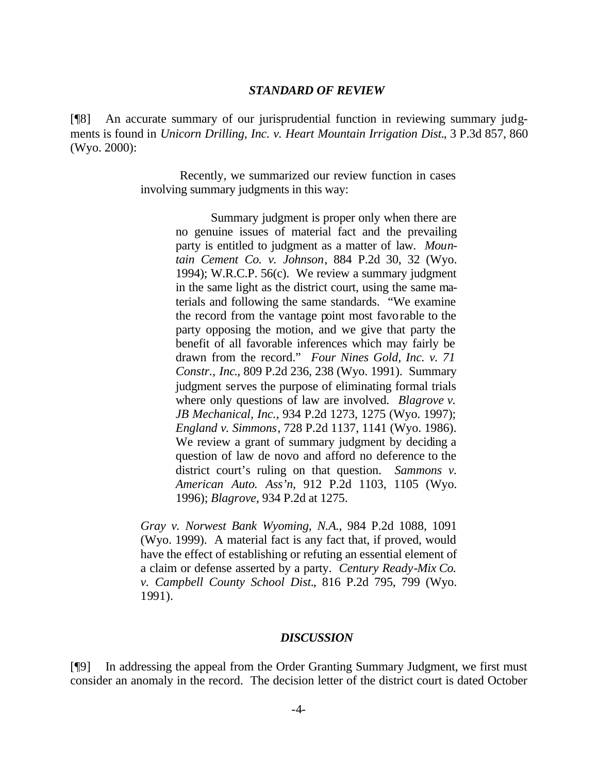### *STANDARD OF REVIEW*

[¶8] An accurate summary of our jurisprudential function in reviewing summary judgments is found in *Unicorn Drilling, Inc. v. Heart Mountain Irrigation Dist.*, 3 P.3d 857, 860 (Wyo. 2000):

> Recently, we summarized our review function in cases involving summary judgments in this way:

> > Summary judgment is proper only when there are no genuine issues of material fact and the prevailing party is entitled to judgment as a matter of law. *Mountain Cement Co. v. Johnson*, 884 P.2d 30, 32 (Wyo. 1994); W.R.C.P. 56(c). We review a summary judgment in the same light as the district court, using the same materials and following the same standards. "We examine the record from the vantage point most favorable to the party opposing the motion, and we give that party the benefit of all favorable inferences which may fairly be drawn from the record." *Four Nines Gold, Inc. v. 71 Constr., Inc*., 809 P.2d 236, 238 (Wyo. 1991). Summary judgment serves the purpose of eliminating formal trials where only questions of law are involved. *Blagrove v. JB Mechanical, Inc.*, 934 P.2d 1273, 1275 (Wyo. 1997); *England v. Simmons*, 728 P.2d 1137, 1141 (Wyo. 1986). We review a grant of summary judgment by deciding a question of law de novo and afford no deference to the district court's ruling on that question. *Sammons v. American Auto. Ass'n*, 912 P.2d 1103, 1105 (Wyo. 1996); *Blagrove*, 934 P.2d at 1275.

*Gray v. Norwest Bank Wyoming, N.A.*, 984 P.2d 1088, 1091 (Wyo. 1999). A material fact is any fact that, if proved, would have the effect of establishing or refuting an essential element of a claim or defense asserted by a party. *Century Ready-Mix Co. v. Campbell County School Dist.*, 816 P.2d 795, 799 (Wyo. 1991).

### *DISCUSSION*

[¶9] In addressing the appeal from the Order Granting Summary Judgment, we first must consider an anomaly in the record. The decision letter of the district court is dated October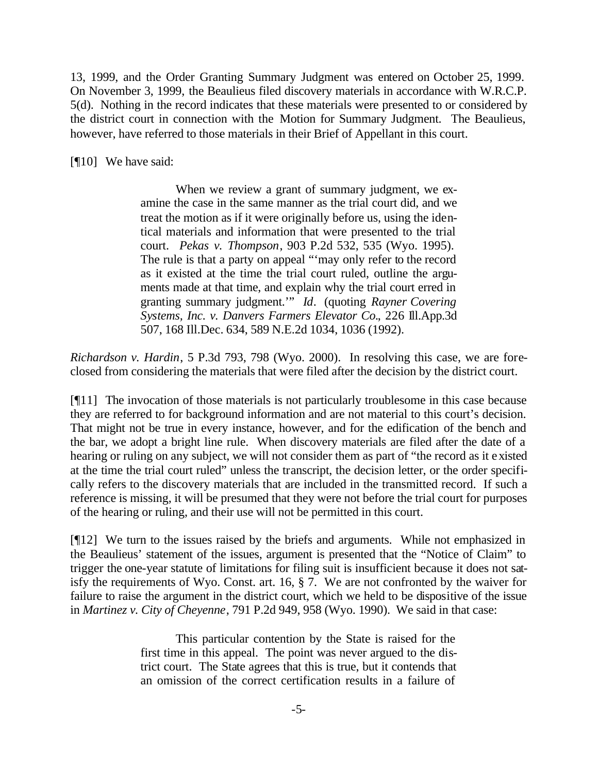13, 1999, and the Order Granting Summary Judgment was entered on October 25, 1999. On November 3, 1999, the Beaulieus filed discovery materials in accordance with W.R.C.P. 5(d). Nothing in the record indicates that these materials were presented to or considered by the district court in connection with the Motion for Summary Judgment. The Beaulieus, however, have referred to those materials in their Brief of Appellant in this court.

[¶10] We have said:

When we review a grant of summary judgment, we examine the case in the same manner as the trial court did, and we treat the motion as if it were originally before us, using the identical materials and information that were presented to the trial court. *Pekas v. Thompson*, 903 P.2d 532, 535 (Wyo. 1995). The rule is that a party on appeal "'may only refer to the record as it existed at the time the trial court ruled, outline the arguments made at that time, and explain why the trial court erred in granting summary judgment.'" *Id*. (quoting *Rayner Covering Systems, Inc. v. Danvers Farmers Elevator Co.*, 226 Ill.App.3d 507, 168 Ill.Dec. 634, 589 N.E.2d 1034, 1036 (1992).

*Richardson v. Hardin*, 5 P.3d 793, 798 (Wyo. 2000). In resolving this case, we are foreclosed from considering the materials that were filed after the decision by the district court.

[¶11] The invocation of those materials is not particularly troublesome in this case because they are referred to for background information and are not material to this court's decision. That might not be true in every instance, however, and for the edification of the bench and the bar, we adopt a bright line rule. When discovery materials are filed after the date of a hearing or ruling on any subject, we will not consider them as part of "the record as it existed at the time the trial court ruled" unless the transcript, the decision letter, or the order specifically refers to the discovery materials that are included in the transmitted record. If such a reference is missing, it will be presumed that they were not before the trial court for purposes of the hearing or ruling, and their use will not be permitted in this court.

[¶12] We turn to the issues raised by the briefs and arguments. While not emphasized in the Beaulieus' statement of the issues, argument is presented that the "Notice of Claim" to trigger the one-year statute of limitations for filing suit is insufficient because it does not satisfy the requirements of Wyo. Const. art. 16, § 7. We are not confronted by the waiver for failure to raise the argument in the district court, which we held to be dispositive of the issue in *Martinez v. City of Cheyenne*, 791 P.2d 949, 958 (Wyo. 1990). We said in that case:

> This particular contention by the State is raised for the first time in this appeal. The point was never argued to the district court. The State agrees that this is true, but it contends that an omission of the correct certification results in a failure of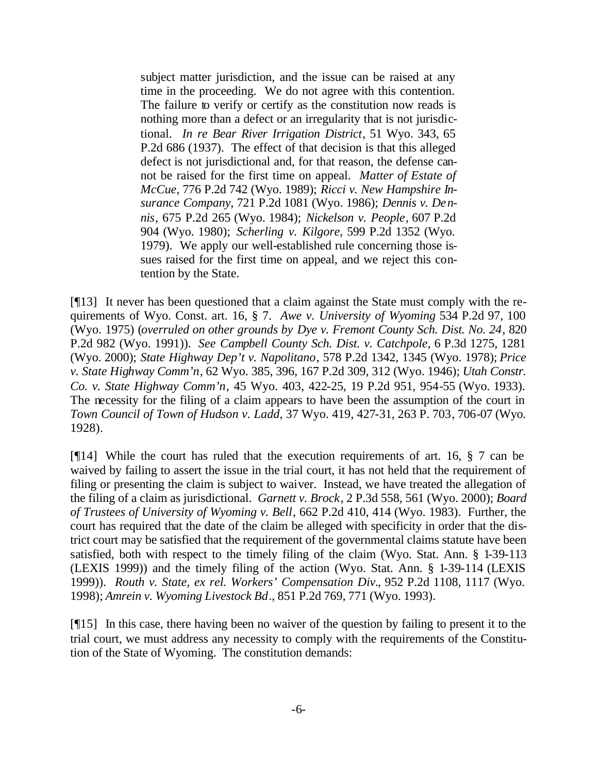subject matter jurisdiction, and the issue can be raised at any time in the proceeding. We do not agree with this contention. The failure to verify or certify as the constitution now reads is nothing more than a defect or an irregularity that is not jurisdictional. *In re Bear River Irrigation District*, 51 Wyo. 343, 65 P.2d 686 (1937). The effect of that decision is that this alleged defect is not jurisdictional and, for that reason, the defense cannot be raised for the first time on appeal. *Matter of Estate of McCue*, 776 P.2d 742 (Wyo. 1989); *Ricci v. New Hampshire Insurance Company*, 721 P.2d 1081 (Wyo. 1986); *Dennis v. Dennis*, 675 P.2d 265 (Wyo. 1984); *Nickelson v. People*, 607 P.2d 904 (Wyo. 1980); *Scherling v. Kilgore*, 599 P.2d 1352 (Wyo. 1979). We apply our well-established rule concerning those issues raised for the first time on appeal, and we reject this contention by the State.

[¶13] It never has been questioned that a claim against the State must comply with the requirements of Wyo. Const. art. 16, § 7. *Awe v. University of Wyoming* 534 P.2d 97, 100 (Wyo. 1975) (*overruled on other grounds by Dye v. Fremont County Sch. Dist. No. 24*, 820 P.2d 982 (Wyo. 1991)). *See Campbell County Sch. Dist. v. Catchpole*, 6 P.3d 1275, 1281 (Wyo. 2000); *State Highway Dep't v. Napolitano*, 578 P.2d 1342, 1345 (Wyo. 1978); *Price v. State Highway Comm'n*, 62 Wyo. 385, 396, 167 P.2d 309, 312 (Wyo. 1946); *Utah Constr. Co. v. State Highway Comm'n*, 45 Wyo. 403, 422-25, 19 P.2d 951, 954-55 (Wyo. 1933). The necessity for the filing of a claim appears to have been the assumption of the court in *Town Council of Town of Hudson v. Ladd*, 37 Wyo. 419, 427-31, 263 P. 703, 706-07 (Wyo. 1928).

[¶14] While the court has ruled that the execution requirements of art. 16, § 7 can be waived by failing to assert the issue in the trial court, it has not held that the requirement of filing or presenting the claim is subject to waiver. Instead, we have treated the allegation of the filing of a claim as jurisdictional. *Garnett v. Brock*, 2 P.3d 558, 561 (Wyo. 2000); *Board of Trustees of University of Wyoming v. Bell*, 662 P.2d 410, 414 (Wyo. 1983). Further, the court has required that the date of the claim be alleged with specificity in order that the district court may be satisfied that the requirement of the governmental claims statute have been satisfied, both with respect to the timely filing of the claim (Wyo. Stat. Ann. § 1-39-113 (LEXIS 1999)) and the timely filing of the action (Wyo. Stat. Ann. § 1-39-114 (LEXIS 1999)). *Routh v. State, ex rel. Workers' Compensation Div.*, 952 P.2d 1108, 1117 (Wyo. 1998); *Amrein v. Wyoming Livestock Bd*., 851 P.2d 769, 771 (Wyo. 1993).

[¶15] In this case, there having been no waiver of the question by failing to present it to the trial court, we must address any necessity to comply with the requirements of the Constitution of the State of Wyoming. The constitution demands: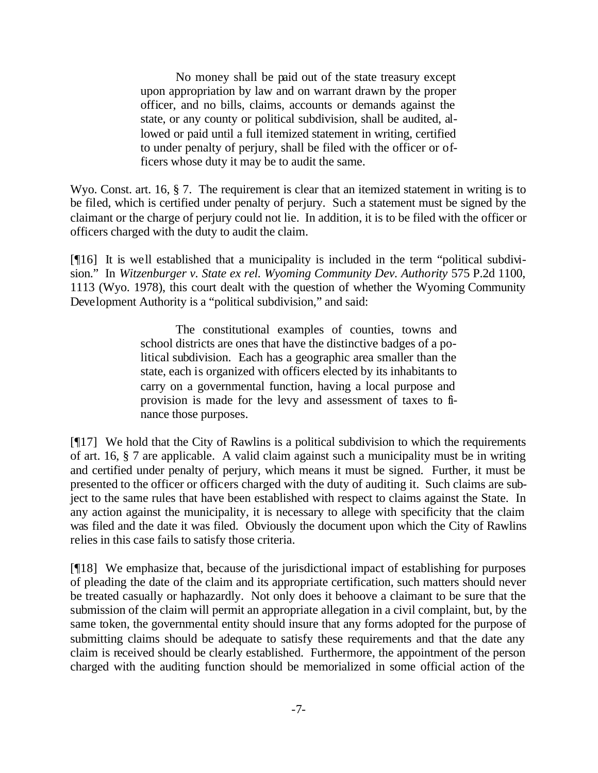No money shall be paid out of the state treasury except upon appropriation by law and on warrant drawn by the proper officer, and no bills, claims, accounts or demands against the state, or any county or political subdivision, shall be audited, allowed or paid until a full itemized statement in writing, certified to under penalty of perjury, shall be filed with the officer or officers whose duty it may be to audit the same.

Wyo. Const. art. 16, § 7. The requirement is clear that an itemized statement in writing is to be filed, which is certified under penalty of perjury. Such a statement must be signed by the claimant or the charge of perjury could not lie. In addition, it is to be filed with the officer or officers charged with the duty to audit the claim.

[¶16] It is well established that a municipality is included in the term "political subdivision." In *Witzenburger v. State ex rel. Wyoming Community Dev. Authority* 575 P.2d 1100, 1113 (Wyo. 1978), this court dealt with the question of whether the Wyoming Community Development Authority is a "political subdivision," and said:

> The constitutional examples of counties, towns and school districts are ones that have the distinctive badges of a political subdivision. Each has a geographic area smaller than the state, each is organized with officers elected by its inhabitants to carry on a governmental function, having a local purpose and provision is made for the levy and assessment of taxes to finance those purposes.

[¶17] We hold that the City of Rawlins is a political subdivision to which the requirements of art. 16, § 7 are applicable. A valid claim against such a municipality must be in writing and certified under penalty of perjury, which means it must be signed. Further, it must be presented to the officer or officers charged with the duty of auditing it. Such claims are subject to the same rules that have been established with respect to claims against the State. In any action against the municipality, it is necessary to allege with specificity that the claim was filed and the date it was filed. Obviously the document upon which the City of Rawlins relies in this case fails to satisfy those criteria.

[¶18] We emphasize that, because of the jurisdictional impact of establishing for purposes of pleading the date of the claim and its appropriate certification, such matters should never be treated casually or haphazardly. Not only does it behoove a claimant to be sure that the submission of the claim will permit an appropriate allegation in a civil complaint, but, by the same token, the governmental entity should insure that any forms adopted for the purpose of submitting claims should be adequate to satisfy these requirements and that the date any claim is received should be clearly established. Furthermore, the appointment of the person charged with the auditing function should be memorialized in some official action of the